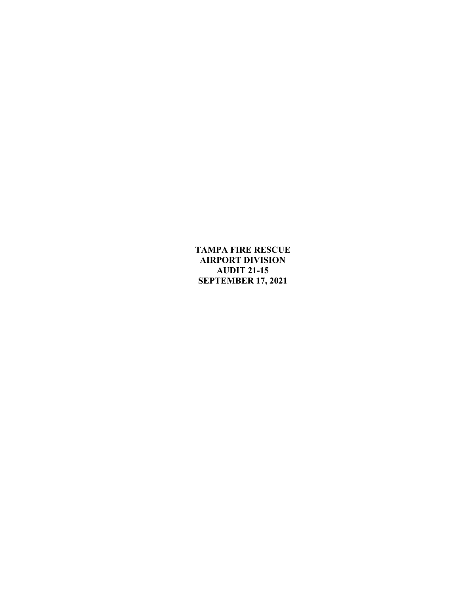**TAMPA FIRE RESCUE AIRPORT DIVISION AUDIT 21-15 SEPTEMBER 17, 2021**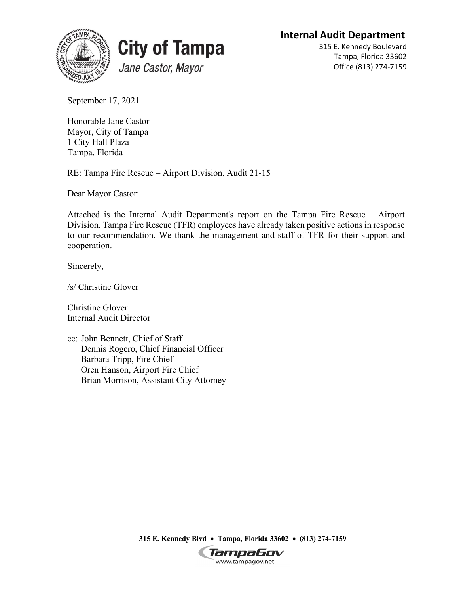**Internal Audit Department**





315 E. Kennedy Boulevard Tampa, Florida 33602 Office (813) 274-7159

September 17, 2021

Honorable Jane Castor Mayor, City of Tampa 1 City Hall Plaza Tampa, Florida

RE: Tampa Fire Rescue – Airport Division, Audit 21-15

Dear Mayor Castor:

Attached is the Internal Audit Department's report on the Tampa Fire Rescue – Airport Division. Tampa Fire Rescue (TFR) employees have already taken positive actions in response to our recommendation. We thank the management and staff of TFR for their support and cooperation.

Sincerely,

/s/ Christine Glover

Christine Glover Internal Audit Director

cc: John Bennett, Chief of Staff Dennis Rogero, Chief Financial Officer Barbara Tripp, Fire Chief Oren Hanson, Airport Fire Chief Brian Morrison, Assistant City Attorney

**315 E. Kennedy Blvd** • **Tampa, Florida 33602** • **(813) 274-7159**

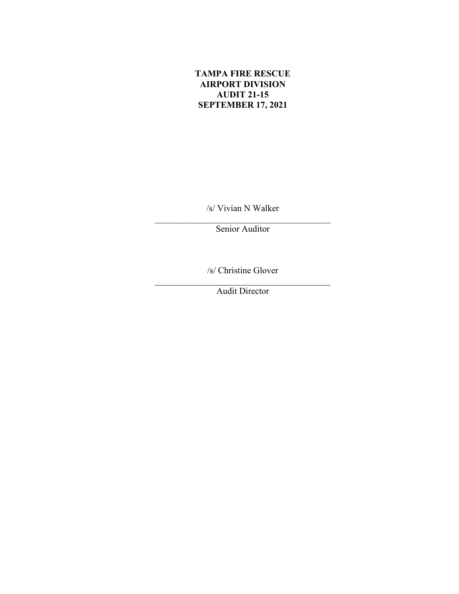# **TAMPA FIRE RESCUE AIRPORT DIVISION AUDIT 21-15 SEPTEMBER 17, 2021**

/s/ Vivian N Walker

\_\_\_\_\_\_\_\_\_\_\_\_\_\_\_\_\_\_\_\_\_\_\_\_\_\_\_\_\_\_\_\_\_\_\_\_\_\_\_ Senior Auditor

/s/ Christine Glover

\_\_\_\_\_\_\_\_\_\_\_\_\_\_\_\_\_\_\_\_\_\_\_\_\_\_\_\_\_\_\_\_\_\_\_\_\_\_\_ Audit Director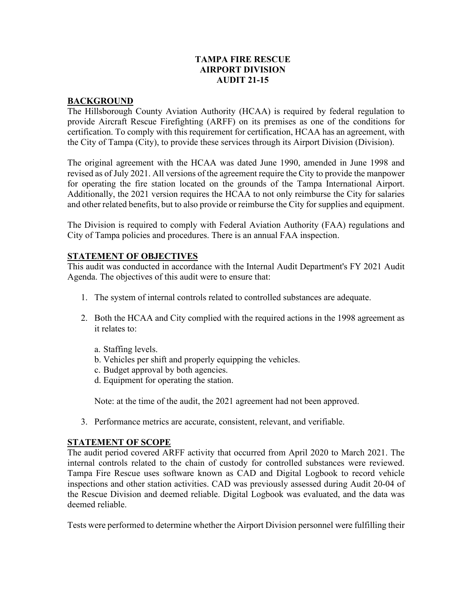# **TAMPA FIRE RESCUE AIRPORT DIVISION AUDIT 21-15**

#### **BACKGROUND**

The Hillsborough County Aviation Authority (HCAA) is required by federal regulation to provide Aircraft Rescue Firefighting (ARFF) on its premises as one of the conditions for certification. To comply with this requirement for certification, HCAA has an agreement, with the City of Tampa (City), to provide these services through its Airport Division (Division).

The original agreement with the HCAA was dated June 1990, amended in June 1998 and revised as of July 2021. All versions of the agreement require the City to provide the manpower for operating the fire station located on the grounds of the Tampa International Airport. Additionally, the 2021 version requires the HCAA to not only reimburse the City for salaries and other related benefits, but to also provide or reimburse the City for supplies and equipment.

The Division is required to comply with Federal Aviation Authority (FAA) regulations and City of Tampa policies and procedures. There is an annual FAA inspection.

# **STATEMENT OF OBJECTIVES**

This audit was conducted in accordance with the Internal Audit Department's FY 2021 Audit Agenda. The objectives of this audit were to ensure that:

- 1. The system of internal controls related to controlled substances are adequate.
- 2. Both the HCAA and City complied with the required actions in the 1998 agreement as it relates to:
	- a. Staffing levels.
	- b. Vehicles per shift and properly equipping the vehicles.
	- c. Budget approval by both agencies.
	- d. Equipment for operating the station.

Note: at the time of the audit, the 2021 agreement had not been approved.

3. Performance metrics are accurate, consistent, relevant, and verifiable.

#### **STATEMENT OF SCOPE**

The audit period covered ARFF activity that occurred from April 2020 to March 2021. The internal controls related to the chain of custody for controlled substances were reviewed. Tampa Fire Rescue uses software known as CAD and Digital Logbook to record vehicle inspections and other station activities. CAD was previously assessed during Audit 20-04 of the Rescue Division and deemed reliable. Digital Logbook was evaluated, and the data was deemed reliable.

Tests were performed to determine whether the Airport Division personnel were fulfilling their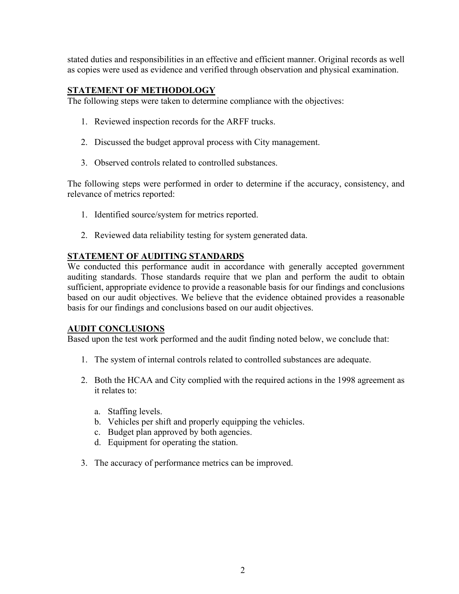stated duties and responsibilities in an effective and efficient manner. Original records as well as copies were used as evidence and verified through observation and physical examination.

# **STATEMENT OF METHODOLOGY**

The following steps were taken to determine compliance with the objectives:

- 1. Reviewed inspection records for the ARFF trucks.
- 2. Discussed the budget approval process with City management.
- 3. Observed controls related to controlled substances.

The following steps were performed in order to determine if the accuracy, consistency, and relevance of metrics reported:

- 1. Identified source/system for metrics reported.
- 2. Reviewed data reliability testing for system generated data.

# **STATEMENT OF AUDITING STANDARDS**

We conducted this performance audit in accordance with generally accepted government auditing standards. Those standards require that we plan and perform the audit to obtain sufficient, appropriate evidence to provide a reasonable basis for our findings and conclusions based on our audit objectives. We believe that the evidence obtained provides a reasonable basis for our findings and conclusions based on our audit objectives.

# **AUDIT CONCLUSIONS**

Based upon the test work performed and the audit finding noted below, we conclude that:

- 1. The system of internal controls related to controlled substances are adequate.
- 2. Both the HCAA and City complied with the required actions in the 1998 agreement as it relates to:
	- a. Staffing levels.
	- b. Vehicles per shift and properly equipping the vehicles.
	- c. Budget plan approved by both agencies.
	- d. Equipment for operating the station.
- 3. The accuracy of performance metrics can be improved.